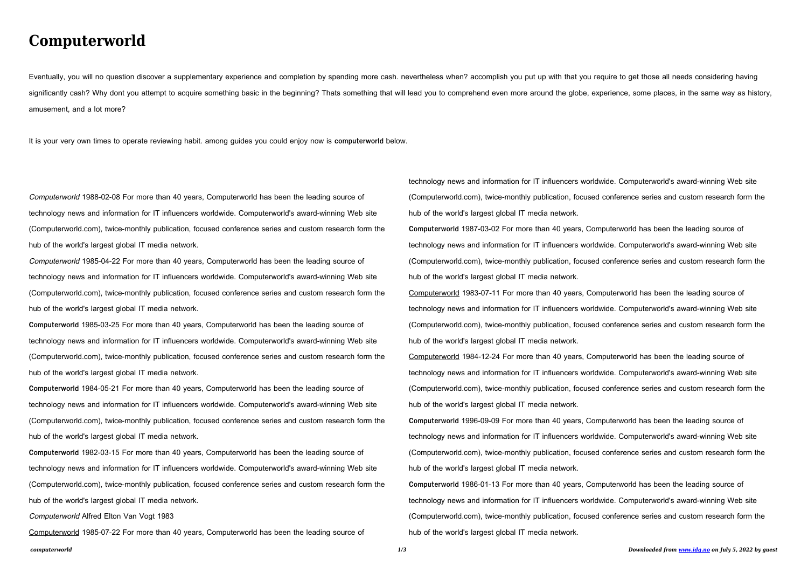## **Computerworld**

Eventually, you will no question discover a supplementary experience and completion by spending more cash. nevertheless when? accomplish you put up with that you require to get those all needs considering having significantly cash? Why dont you attempt to acquire something basic in the beginning? Thats something that will lead you to comprehend even more around the globe, experience, some places, in the same way as history, amusement, and a lot more?

It is your very own times to operate reviewing habit. among guides you could enjoy now is **computerworld** below.

Computerworld 1988-02-08 For more than 40 years, Computerworld has been the leading source of technology news and information for IT influencers worldwide. Computerworld's award-winning Web site (Computerworld.com), twice-monthly publication, focused conference series and custom research form the hub of the world's largest global IT media network.

Computerworld 1985-04-22 For more than 40 years, Computerworld has been the leading source of technology news and information for IT influencers worldwide. Computerworld's award-winning Web site (Computerworld.com), twice-monthly publication, focused conference series and custom research form the hub of the world's largest global IT media network.

**Computerworld** 1985-03-25 For more than 40 years, Computerworld has been the leading source of technology news and information for IT influencers worldwide. Computerworld's award-winning Web site (Computerworld.com), twice-monthly publication, focused conference series and custom research form the hub of the world's largest global IT media network.

**Computerworld** 1984-05-21 For more than 40 years, Computerworld has been the leading source of technology news and information for IT influencers worldwide. Computerworld's award-winning Web site (Computerworld.com), twice-monthly publication, focused conference series and custom research form the hub of the world's largest global IT media network.

**Computerworld** 1982-03-15 For more than 40 years, Computerworld has been the leading source of technology news and information for IT influencers worldwide. Computerworld's award-winning Web site (Computerworld.com), twice-monthly publication, focused conference series and custom research form the hub of the world's largest global IT media network.

Computerworld Alfred Elton Van Vogt 1983

Computerworld 1985-07-22 For more than 40 years, Computerworld has been the leading source of

technology news and information for IT influencers worldwide. Computerworld's award-winning Web site (Computerworld.com), twice-monthly publication, focused conference series and custom research form the

hub of the world's largest global IT media network. **Computerworld** 1987-03-02 For more than 40 years, Computerworld has been the leading source of technology news and information for IT influencers worldwide. Computerworld's award-winning Web site (Computerworld.com), twice-monthly publication, focused conference series and custom research form the hub of the world's largest global IT media network. Computerworld 1983-07-11 For more than 40 years, Computerworld has been the leading source of technology news and information for IT influencers worldwide. Computerworld's award-winning Web site (Computerworld.com), twice-monthly publication, focused conference series and custom research form the

hub of the world's largest global IT media network.

Computerworld 1984-12-24 For more than 40 years, Computerworld has been the leading source of technology news and information for IT influencers worldwide. Computerworld's award-winning Web site (Computerworld.com), twice-monthly publication, focused conference series and custom research form the hub of the world's largest global IT media network.

**Computerworld** 1996-09-09 For more than 40 years, Computerworld has been the leading source of technology news and information for IT influencers worldwide. Computerworld's award-winning Web site (Computerworld.com), twice-monthly publication, focused conference series and custom research form the hub of the world's largest global IT media network.

**Computerworld** 1986-01-13 For more than 40 years, Computerworld has been the leading source of technology news and information for IT influencers worldwide. Computerworld's award-winning Web site (Computerworld.com), twice-monthly publication, focused conference series and custom research form the hub of the world's largest global IT media network.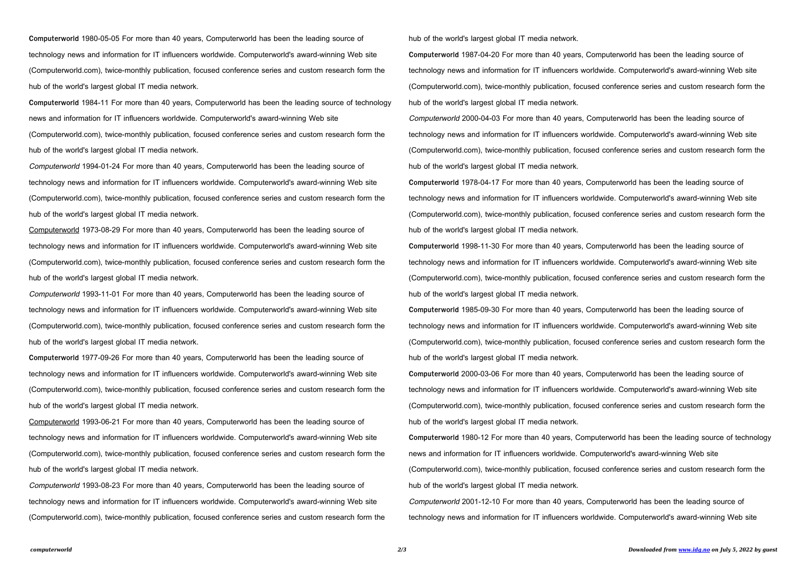**Computerworld** 1980-05-05 For more than 40 years, Computerworld has been the leading source of technology news and information for IT influencers worldwide. Computerworld's award-winning Web site (Computerworld.com), twice-monthly publication, focused conference series and custom research form the hub of the world's largest global IT media network.

**Computerworld** 1984-11 For more than 40 years, Computerworld has been the leading source of technology news and information for IT influencers worldwide. Computerworld's award-winning Web site (Computerworld.com), twice-monthly publication, focused conference series and custom research form the hub of the world's largest global IT media network.

Computerworld 1994-01-24 For more than 40 years, Computerworld has been the leading source of technology news and information for IT influencers worldwide. Computerworld's award-winning Web site (Computerworld.com), twice-monthly publication, focused conference series and custom research form the hub of the world's largest global IT media network.

Computerworld 1973-08-29 For more than 40 years, Computerworld has been the leading source of technology news and information for IT influencers worldwide. Computerworld's award-winning Web site (Computerworld.com), twice-monthly publication, focused conference series and custom research form the hub of the world's largest global IT media network.

Computerworld 1993-11-01 For more than 40 years, Computerworld has been the leading source of technology news and information for IT influencers worldwide. Computerworld's award-winning Web site (Computerworld.com), twice-monthly publication, focused conference series and custom research form the hub of the world's largest global IT media network.

**Computerworld** 1977-09-26 For more than 40 years, Computerworld has been the leading source of technology news and information for IT influencers worldwide. Computerworld's award-winning Web site (Computerworld.com), twice-monthly publication, focused conference series and custom research form the hub of the world's largest global IT media network.

Computerworld 1993-06-21 For more than 40 years, Computerworld has been the leading source of technology news and information for IT influencers worldwide. Computerworld's award-winning Web site (Computerworld.com), twice-monthly publication, focused conference series and custom research form the hub of the world's largest global IT media network.

Computerworld 1993-08-23 For more than 40 years, Computerworld has been the leading source of technology news and information for IT influencers worldwide. Computerworld's award-winning Web site (Computerworld.com), twice-monthly publication, focused conference series and custom research form the hub of the world's largest global IT media network.

**Computerworld** 1987-04-20 For more than 40 years, Computerworld has been the leading source of technology news and information for IT influencers worldwide. Computerworld's award-winning Web site (Computerworld.com), twice-monthly publication, focused conference series and custom research form the hub of the world's largest global IT media network.

Computerworld 2000-04-03 For more than 40 years, Computerworld has been the leading source of technology news and information for IT influencers worldwide. Computerworld's award-winning Web site (Computerworld.com), twice-monthly publication, focused conference series and custom research form the hub of the world's largest global IT media network.

**Computerworld** 1978-04-17 For more than 40 years, Computerworld has been the leading source of technology news and information for IT influencers worldwide. Computerworld's award-winning Web site (Computerworld.com), twice-monthly publication, focused conference series and custom research form the hub of the world's largest global IT media network.

**Computerworld** 1998-11-30 For more than 40 years, Computerworld has been the leading source of technology news and information for IT influencers worldwide. Computerworld's award-winning Web site (Computerworld.com), twice-monthly publication, focused conference series and custom research form the hub of the world's largest global IT media network.

**Computerworld** 1985-09-30 For more than 40 years, Computerworld has been the leading source of technology news and information for IT influencers worldwide. Computerworld's award-winning Web site (Computerworld.com), twice-monthly publication, focused conference series and custom research form the hub of the world's largest global IT media network.

**Computerworld** 2000-03-06 For more than 40 years, Computerworld has been the leading source of technology news and information for IT influencers worldwide. Computerworld's award-winning Web site (Computerworld.com), twice-monthly publication, focused conference series and custom research form the hub of the world's largest global IT media network.

**Computerworld** 1980-12 For more than 40 years, Computerworld has been the leading source of technology news and information for IT influencers worldwide. Computerworld's award-winning Web site (Computerworld.com), twice-monthly publication, focused conference series and custom research form the hub of the world's largest global IT media network.

Computerworld 2001-12-10 For more than 40 years, Computerworld has been the leading source of technology news and information for IT influencers worldwide. Computerworld's award-winning Web site